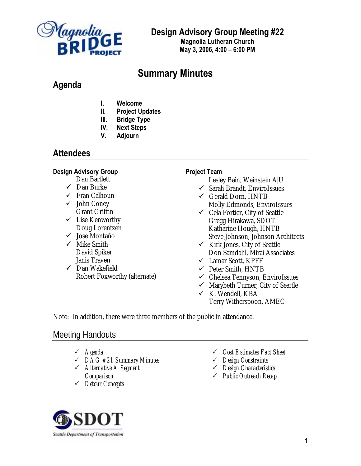

**Design Advisory Group Meeting #22** 

**Magnolia Lutheran Church May 3, 2006, 4:00 – 6:00 PM**

# **Summary Minutes**

# **Agenda**

- **I. Welcome**
- **II. Project Updates**
- **III. Bridge Type**
- **IV. Next Steps**
- **V. Adjourn**

# **Attendees**

## **Design Advisory Group**

- Dan Bartlett
- $\checkmark$  Dan Burke
- $\checkmark$  Fran Calhoun
- $\checkmark$  John Coney Grant Griffin
- $\checkmark$  Lise Kenworthy Doug Lorentzen
- $\checkmark$  Jose Montaño
- $\checkmark$  Mike Smith David Spiker Janis Traven
- $\checkmark$  Dan Wakefield Robert Foxworthy (alternate)

## **Project Team**

- Lesley Bain, Weinstein A|U
- $\checkmark$  Sarah Brandt, EnviroIssues
- $\checkmark$  Gerald Dorn, HNTB Molly Edmonds, EnviroIssues
- $\checkmark$  Cela Fortier, City of Seattle Gregg Hirakawa, SDOT Katharine Hough, HNTB Steve Johnson, Johnson Architects
- $\checkmark$  Kirk Jones, City of Seattle Don Samdahl, Mirai Associates
- $\checkmark$  Lamar Scott, KPFF
- $\checkmark$  Peter Smith, HNTB
- $\checkmark$  Chelsea Tennyson, EnviroIssues
- $\checkmark$  Marybeth Turner, City of Seattle
- $\times$  K. Wendell, KBA Terry Witherspoon, AMEC

Note: In addition, there were three members of the public in attendance.

# Meeting Handouts

- 3 *Agenda*
- 3 *DAG #21 Summary Minutes*
- 3 *Alternative A Segment Comparison*
- 3 *Detour Concepts*
- 3 *Cost Estimates Fact Sheet*
- 3 *Design Constraints*
- 3 *Design Characteristics*
- 3 *Public Outreach Recap*

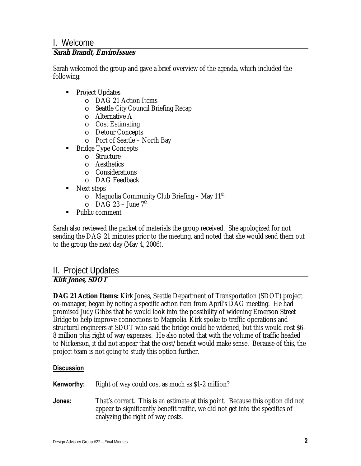# I. Welcome

## **Sarah Brandt, EnviroIssues**

Sarah welcomed the group and gave a brief overview of the agenda, which included the following:

- Project Updates
	- o DAG 21 Action Items
	- o Seattle City Council Briefing Recap
	- o Alternative A
	- o Cost Estimating
	- o Detour Concepts
	- o Port of Seattle North Bay
- Bridge Type Concepts
	- o Structure
	- o Aesthetics
	- o Considerations
	- o DAG Feedback
- Next steps
	- $\circ$  Magnolia Community Club Briefing May 11<sup>th</sup>
	- $O$  DAG 23 June 7<sup>th</sup>
- Public comment

Sarah also reviewed the packet of materials the group received. She apologized for not sending the DAG 21 minutes prior to the meeting, and noted that she would send them out to the group the next day (May 4, 2006).

## II. Project Updates **Kirk Jones, SDOT**

**DAG 21 Action Items:** Kirk Jones, Seattle Department of Transportation (SDOT) project co-manager, began by noting a specific action item from April's DAG meeting. He had promised Judy Gibbs that he would look into the possibility of widening Emerson Street Bridge to help improve connections to Magnolia. Kirk spoke to traffic operations and structural engineers at SDOT who said the bridge could be widened, but this would cost \$6- 8 million plus right of way expenses. He also noted that with the volume of traffic headed to Nickerson, it did not appear that the cost/benefit would make sense. Because of this, the project team is not going to study this option further.

- **Kenworthy:** Right of way could cost as much as \$1-2 million?
- **Jones:** That's correct. This is an estimate at this point. Because this option did not appear to significantly benefit traffic, we did not get into the specifics of analyzing the right of way costs.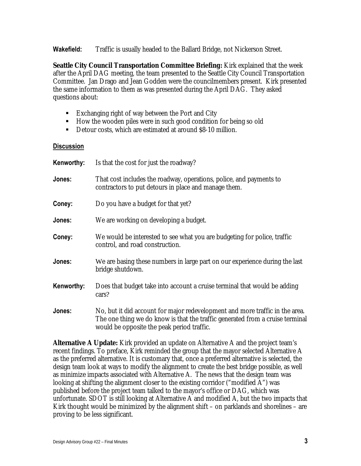**Wakefield:** Traffic is usually headed to the Ballard Bridge, not Nickerson Street.

**Seattle City Council Transportation Committee Briefing:** Kirk explained that the week after the April DAG meeting, the team presented to the Seattle City Council Transportation Committee. Jan Drago and Jean Godden were the councilmembers present. Kirk presented the same information to them as was presented during the April DAG. They asked questions about:

- Exchanging right of way between the Port and City
- How the wooden piles were in such good condition for being so old
- Detour costs, which are estimated at around \$8-10 million.

#### **Discussion**

| Kenworthy: | Is that the cost for just the roadway?                                                                                                                                                                      |
|------------|-------------------------------------------------------------------------------------------------------------------------------------------------------------------------------------------------------------|
| Jones:     | That cost includes the roadway, operations, police, and payments to<br>contractors to put detours in place and manage them.                                                                                 |
| Coney:     | Do you have a budget for that yet?                                                                                                                                                                          |
| Jones:     | We are working on developing a budget.                                                                                                                                                                      |
| Coney:     | We would be interested to see what you are budgeting for police, traffic<br>control, and road construction.                                                                                                 |
| Jones:     | We are basing these numbers in large part on our experience during the last<br>bridge shutdown.                                                                                                             |
| Kenworthy: | Does that budget take into account a cruise terminal that would be adding<br>cars?                                                                                                                          |
| Jones:     | No, but it did account for major redevelopment and more traffic in the area.<br>The one thing we do know is that the traffic generated from a cruise terminal<br>would be opposite the peak period traffic. |

**Alternative A Update:** Kirk provided an update on Alternative A and the project team's recent findings. To preface, Kirk reminded the group that the mayor selected Alternative A as the preferred alternative. It is customary that, once a preferred alternative is selected, the design team look at ways to modify the alignment to create the best bridge possible, as well as minimize impacts associated with Alternative A. The news that the design team was looking at shifting the alignment closer to the existing corridor ("modified A") was published before the project team talked to the mayor's office or DAG, which was unfortunate. SDOT is still looking at Alternative A and modified A, but the two impacts that Kirk thought would be minimized by the alignment shift – on parklands and shorelines – are proving to be less significant.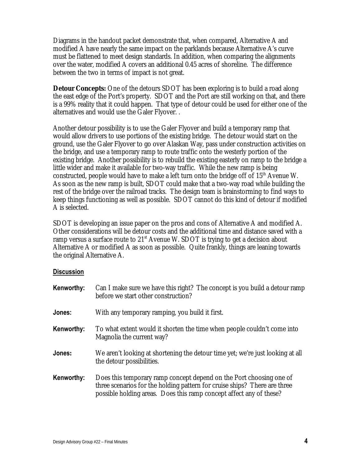Diagrams in the handout packet demonstrate that, when compared, Alternative A and modified A have nearly the same impact on the parklands because Alternative A's curve must be flattened to meet design standards. In addition, when comparing the alignments over the water, modified A covers an additional 0.45 acres of shoreline. The difference between the two in terms of impact is not great.

**Detour Concepts:** One of the detours SDOT has been exploring is to build a road along the east edge of the Port's property. SDOT and the Port are still working on that, and there is a 99% reality that it could happen. That type of detour could be used for either one of the alternatives and would use the Galer Flyover. .

Another detour possibility is to use the Galer Flyover and build a temporary ramp that would allow drivers to use portions of the existing bridge. The detour would start on the ground, use the Galer Flyover to go over Alaskan Way, pass under construction activities on the bridge, and use a temporary ramp to route traffic onto the westerly portion of the existing bridge. Another possibility is to rebuild the existing easterly on ramp to the bridge a little wider and make it available for two-way traffic. While the new ramp is being constructed, people would have to make a left turn onto the bridge off of  $15<sup>th</sup>$  Avenue W. As soon as the new ramp is built, SDOT could make that a two-way road while building the rest of the bridge over the railroad tracks. The design team is brainstorming to find ways to keep things functioning as well as possible. SDOT cannot do this kind of detour if modified A is selected.

SDOT is developing an issue paper on the pros and cons of Alternative A and modified A. Other considerations will be detour costs and the additional time and distance saved with a ramp versus a surface route to  $21<sup>st</sup>$  Avenue W. SDOT is trying to get a decision about Alternative A or modified A as soon as possible. Quite frankly, things are leaning towards the original Alternative A.

| Kenworthy: | Can I make sure we have this right? The concept is you build a detour ramp<br>before we start other construction?                                                                                                       |
|------------|-------------------------------------------------------------------------------------------------------------------------------------------------------------------------------------------------------------------------|
| Jones:     | With any temporary ramping, you build it first.                                                                                                                                                                         |
| Kenworthy: | To what extent would it shorten the time when people couldn't come into<br>Magnolia the current way?                                                                                                                    |
| Jones:     | We aren't looking at shortening the detour time yet; we're just looking at all<br>the detour possibilities.                                                                                                             |
| Kenworthy: | Does this temporary ramp concept depend on the Port choosing one of<br>three scenarios for the holding pattern for cruise ships? There are three<br>possible holding areas. Does this ramp concept affect any of these? |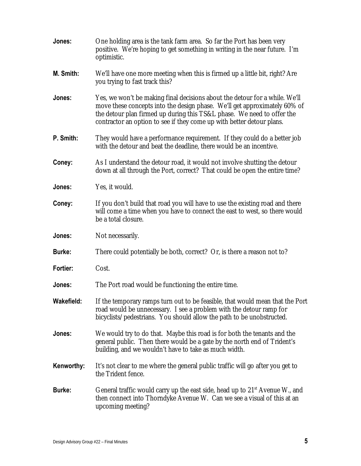| Jones:        | One holding area is the tank farm area. So far the Port has been very<br>positive. We're hoping to get something in writing in the near future. I'm<br>optimistic.                                                                                                                                          |
|---------------|-------------------------------------------------------------------------------------------------------------------------------------------------------------------------------------------------------------------------------------------------------------------------------------------------------------|
| M. Smith:     | We'll have one more meeting when this is firmed up a little bit, right? Are<br>you trying to fast track this?                                                                                                                                                                                               |
| Jones:        | Yes, we won't be making final decisions about the detour for a while. We'll<br>move these concepts into the design phase. We'll get approximately 60% of<br>the detour plan firmed up during this TS&L phase. We need to offer the<br>contractor an option to see if they come up with better detour plans. |
| P. Smith:     | They would have a performance requirement. If they could do a better job<br>with the detour and beat the deadline, there would be an incentive.                                                                                                                                                             |
| Coney:        | As I understand the detour road, it would not involve shutting the detour<br>down at all through the Port, correct? That could be open the entire time?                                                                                                                                                     |
| Jones:        | Yes, it would.                                                                                                                                                                                                                                                                                              |
| Coney:        | If you don't build that road you will have to use the existing road and there<br>will come a time when you have to connect the east to west, so there would<br>be a total closure.                                                                                                                          |
| Jones:        | Not necessarily.                                                                                                                                                                                                                                                                                            |
| <b>Burke:</b> | There could potentially be both, correct? Or, is there a reason not to?                                                                                                                                                                                                                                     |
| Fortier:      | Cost.                                                                                                                                                                                                                                                                                                       |
| Jones:        | The Port road would be functioning the entire time.                                                                                                                                                                                                                                                         |
| Wakefield:    | If the temporary ramps turn out to be feasible, that would mean that the Port<br>road would be unnecessary. I see a problem with the detour ramp for<br>bicyclists/pedestrians. You should allow the path to be unobstructed.                                                                               |
| Jones:        | We would try to do that. Maybe this road is for both the tenants and the<br>general public. Then there would be a gate by the north end of Trident's<br>building, and we wouldn't have to take as much width.                                                                                               |
| Kenworthy:    | It's not clear to me where the general public traffic will go after you get to<br>the Trident fence.                                                                                                                                                                                                        |
| <b>Burke:</b> | General traffic would carry up the east side, head up to $21st$ Avenue W., and<br>then connect into Thorndyke Avenue W. Can we see a visual of this at an<br>upcoming meeting?                                                                                                                              |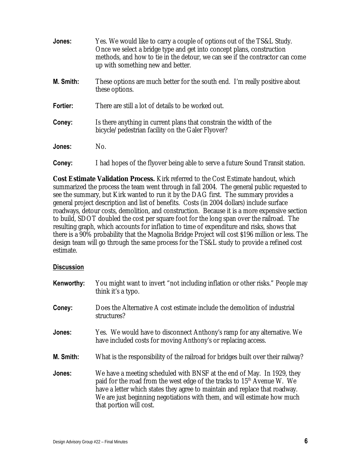| Jones:    | Yes. We would like to carry a couple of options out of the TS&L Study.<br>Once we select a bridge type and get into concept plans, construction<br>methods, and how to tie in the detour, we can see if the contractor can come<br>up with something new and better. |
|-----------|----------------------------------------------------------------------------------------------------------------------------------------------------------------------------------------------------------------------------------------------------------------------|
| M. Smith: | These options are much better for the south end. I'm really positive about<br>these options.                                                                                                                                                                         |
| Fortier:  | There are still a lot of details to be worked out.                                                                                                                                                                                                                   |
| Coney:    | Is there anything in current plans that constrain the width of the<br>bicycle/pedestrian facility on the Galer Flyover?                                                                                                                                              |
| Jones:    | No.                                                                                                                                                                                                                                                                  |
| Coney:    | I had hopes of the flyover being able to serve a future Sound Transit station.                                                                                                                                                                                       |

**Cost Estimate Validation Process.** Kirk referred to the Cost Estimate handout, which summarized the process the team went through in fall 2004. The general public requested to see the summary, but Kirk wanted to run it by the DAG first. The summary provides a general project description and list of benefits. Costs (in 2004 dollars) include surface roadways, detour costs, demolition, and construction. Because it is a more expensive section to build, SDOT doubled the cost per square foot for the long span over the railroad. The resulting graph, which accounts for inflation to time of expenditure and risks, shows that there is a 90% probability that the Magnolia Bridge Project will cost \$196 million or less. The design team will go through the same process for the TS&L study to provide a refined cost estimate.

| Kenworthy: | You might want to invert "not including inflation or other risks." People may<br>think it's a typo.                                                                                                                                                                                                                                                 |
|------------|-----------------------------------------------------------------------------------------------------------------------------------------------------------------------------------------------------------------------------------------------------------------------------------------------------------------------------------------------------|
| Coney:     | Does the Alternative A cost estimate include the demolition of industrial<br>structures?                                                                                                                                                                                                                                                            |
| Jones:     | Yes. We would have to disconnect Anthony's ramp for any alternative. We<br>have included costs for moving Anthony's or replacing access.                                                                                                                                                                                                            |
| M. Smith:  | What is the responsibility of the railroad for bridges built over their railway?                                                                                                                                                                                                                                                                    |
| Jones:     | We have a meeting scheduled with BNSF at the end of May. In 1929, they<br>paid for the road from the west edge of the tracks to 15 <sup>th</sup> Avenue W. We<br>have a letter which states they agree to maintain and replace that roadway.<br>We are just beginning negotiations with them, and will estimate how much<br>that portion will cost. |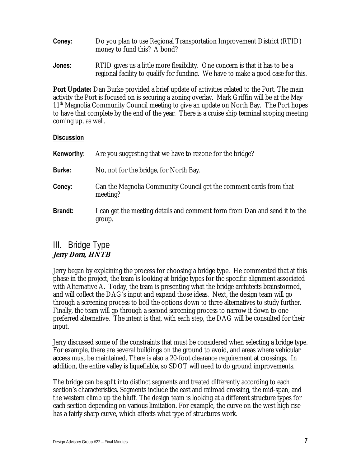| Coney: | Do you plan to use Regional Transportation Improvement District (RTID) |
|--------|------------------------------------------------------------------------|
|        | money to fund this? A bond?                                            |

**Jones:** RTID gives us a little more flexibility. One concern is that it has to be a regional facility to qualify for funding. We have to make a good case for this.

**Port Update:** Dan Burke provided a brief update of activities related to the Port. The main activity the Port is focused on is securing a zoning overlay. Mark Griffin will be at the May 11<sup>th</sup> Magnolia Community Council meeting to give an update on North Bay. The Port hopes to have that complete by the end of the year. There is a cruise ship terminal scoping meeting coming up, as well.

#### **Discussion**

| Kenworthy:     | Are you suggesting that we have to rezone for the bridge?                            |
|----------------|--------------------------------------------------------------------------------------|
| <b>Burke:</b>  | No, not for the bridge, for North Bay.                                               |
| Coney:         | Can the Magnolia Community Council get the comment cards from that<br>meeting?       |
| <b>Brandt:</b> | I can get the meeting details and comment form from Dan and send it to the<br>group. |

# III. Bridge Type

## **Jerry Dorn, HNTB**

Jerry began by explaining the process for choosing a bridge type. He commented that at this phase in the project, the team is looking at bridge types for the specific alignment associated with Alternative A. Today, the team is presenting what the bridge architects brainstormed, and will collect the DAG's input and expand those ideas. Next, the design team will go through a screening process to boil the options down to three alternatives to study further. Finally, the team will go through a second screening process to narrow it down to one preferred alternative. The intent is that, with each step, the DAG will be consulted for their input.

Jerry discussed some of the constraints that must be considered when selecting a bridge type. For example, there are several buildings on the ground to avoid, and areas where vehicular access must be maintained. There is also a 20-foot clearance requirement at crossings. In addition, the entire valley is liquefiable, so SDOT will need to do ground improvements.

The bridge can be split into distinct segments and treated differently according to each section's characteristics. Segments include the east and railroad crossing, the mid-span, and the western climb up the bluff. The design team is looking at a different structure types for each section depending on various limitation. For example, the curve on the west high rise has a fairly sharp curve, which affects what type of structures work.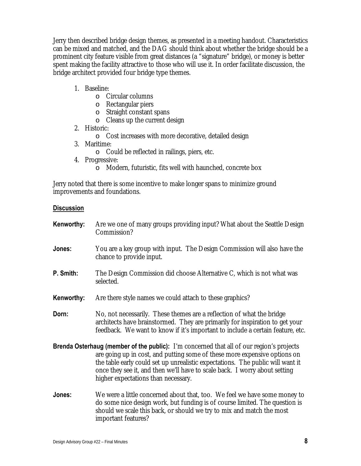Jerry then described bridge design themes, as presented in a meeting handout. Characteristics can be mixed and matched, and the DAG should think about whether the bridge should be a prominent city feature visible from great distances (a "signature" bridge), or money is better spent making the facility attractive to those who will use it. In order facilitate discussion, the bridge architect provided four bridge type themes.

- 1. Baseline:
	- o Circular columns
	- o Rectangular piers
	- o Straight constant spans
	- o Cleans up the current design
- 2. Historic:
	- o Cost increases with more decorative, detailed design
- 3. Maritime:
	- o Could be reflected in railings, piers, etc.
- 4. Progressive:
	- o Modern, futuristic, fits well with haunched, concrete box

Jerry noted that there is some incentive to make longer spans to minimize ground improvements and foundations.

| Kenworthy: | Are we one of many groups providing input? What about the Seattle Design<br>Commission?                                                                                                                                                                                                                                                                                             |
|------------|-------------------------------------------------------------------------------------------------------------------------------------------------------------------------------------------------------------------------------------------------------------------------------------------------------------------------------------------------------------------------------------|
| Jones:     | You are a key group with input. The Design Commission will also have the<br>chance to provide input.                                                                                                                                                                                                                                                                                |
| P. Smith:  | The Design Commission did choose Alternative C, which is not what was<br>selected.                                                                                                                                                                                                                                                                                                  |
| Kenworthy: | Are there style names we could attach to these graphics?                                                                                                                                                                                                                                                                                                                            |
| Dorn:      | No, not necessarily. These themes are a reflection of what the bridge<br>architects have brainstormed. They are primarily for inspiration to get your<br>feedback. We want to know if it's important to include a certain feature, etc.                                                                                                                                             |
|            | <b>Brenda Osterhaug (member of the public):</b> I'm concerned that all of our region's projects<br>are going up in cost, and putting some of these more expensive options on<br>the table early could set up unrealistic expectations. The public will want it<br>once they see it, and then we'll have to scale back. I worry about setting<br>higher expectations than necessary. |
| Jones:     | We were a little concerned about that, too. We feel we have some money to<br>do some nice design work, but funding is of course limited. The question is<br>should we scale this back, or should we try to mix and match the most<br>important features?                                                                                                                            |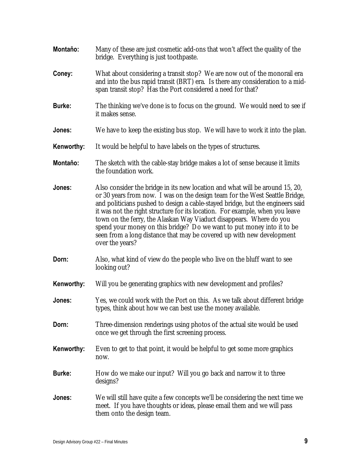- **Montaňo:** Many of these are just cosmetic add-ons that won't affect the quality of the bridge. Everything is just toothpaste.
- **Coney:** What about considering a transit stop? We are now out of the monorail era and into the bus rapid transit (BRT) era. Is there any consideration to a midspan transit stop? Has the Port considered a need for that?
- **Burke:** The thinking we've done is to focus on the ground. We would need to see if it makes sense.
- **Jones:** We have to keep the existing bus stop. We will have to work it into the plan.
- **Kenworthy:** It would be helpful to have labels on the types of structures.
- **Montaňo:** The sketch with the cable-stay bridge makes a lot of sense because it limits the foundation work.
- **Jones:** Also consider the bridge in its new location and what will be around 15, 20, or 30 years from now. I was on the design team for the West Seattle Bridge, and politicians pushed to design a cable-stayed bridge, but the engineers said it was not the right structure for its location. For example, when you leave town on the ferry, the Alaskan Way Viaduct disappears. Where do you spend your money on this bridge? Do we want to put money into it to be seen from a long distance that may be covered up with new development over the years?
- **Dorn:** Also, what kind of view do the people who live on the bluff want to see looking out?
- **Kenworthy:** Will you be generating graphics with new development and profiles?
- **Jones:** Yes, we could work with the Port on this. As we talk about different bridge types, think about how we can best use the money available.
- **Dorn:** Three-dimension renderings using photos of the actual site would be used once we get through the first screening process.
- **Kenworthy:** Even to get to that point, it would be helpful to get some more graphics now.
- **Burke:** How do we make our input? Will you go back and narrow it to three designs?
- **Jones:** We will still have quite a few concepts we'll be considering the next time we meet. If you have thoughts or ideas, please email them and we will pass them onto the design team.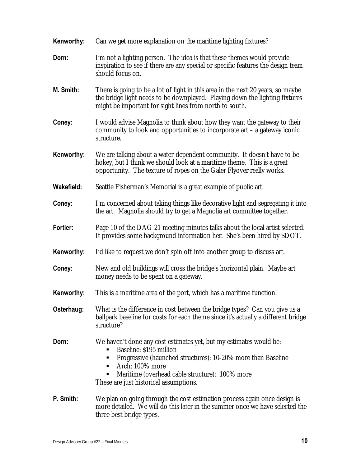| Kenworthy: | Can we get more explanation on the maritime lighting fixtures?                                                                                                                                                                                                                    |
|------------|-----------------------------------------------------------------------------------------------------------------------------------------------------------------------------------------------------------------------------------------------------------------------------------|
| Dorn:      | I'm not a lighting person. The idea is that these themes would provide<br>inspiration to see if there are any special or specific features the design team<br>should focus on.                                                                                                    |
| M. Smith:  | There is going to be a lot of light in this area in the next 20 years, so maybe<br>the bridge light needs to be downplayed. Playing down the lighting fixtures<br>might be important for sight lines from north to south.                                                         |
| Coney:     | I would advise Magnolia to think about how they want the gateway to their<br>community to look and opportunities to incorporate art - a gateway iconic<br>structure.                                                                                                              |
| Kenworthy: | We are talking about a water-dependent community. It doesn't have to be<br>hokey, but I think we should look at a maritime theme. This is a great<br>opportunity. The texture of ropes on the Galer Flyover really works.                                                         |
| Wakefield: | Seattle Fisherman's Memorial is a great example of public art.                                                                                                                                                                                                                    |
| Coney:     | I'm concerned about taking things like decorative light and segregating it into<br>the art. Magnolia should try to get a Magnolia art committee together.                                                                                                                         |
| Fortier:   | Page 10 of the DAG 21 meeting minutes talks about the local artist selected.<br>It provides some background information her. She's been hired by SDOT.                                                                                                                            |
| Kenworthy: | I'd like to request we don't spin off into another group to discuss art.                                                                                                                                                                                                          |
| Coney:     | New and old buildings will cross the bridge's horizontal plain. Maybe art<br>money needs to be spent on a gateway.                                                                                                                                                                |
| Kenworthy: | This is a maritime area of the port, which has a maritime function.                                                                                                                                                                                                               |
| Osterhaug: | What is the difference in cost between the bridge types? Can you give us a<br>ballpark baseline for costs for each theme since it's actually a different bridge<br>structure?                                                                                                     |
| Dorn:      | We haven't done any cost estimates yet, but my estimates would be:<br>Baseline: \$195 million<br>Progressive (haunched structures): 10-20% more than Baseline<br>п<br>Arch: 100% more<br>Maritime (overhead cable structure): 100% more<br>These are just historical assumptions. |
| P. Smith:  | We plan on going through the cost estimation process again once design is<br>more detailed. We will do this later in the summer once we have selected the<br>three best bridge types.                                                                                             |